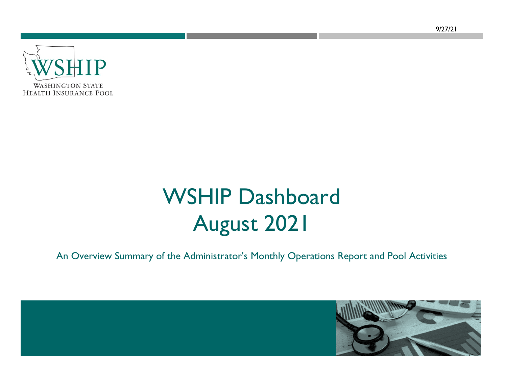9/27/21



# WSHIP Dashboard August 2021

An Overview Summary of the Administrator's Monthly Operations Report and Pool Activities

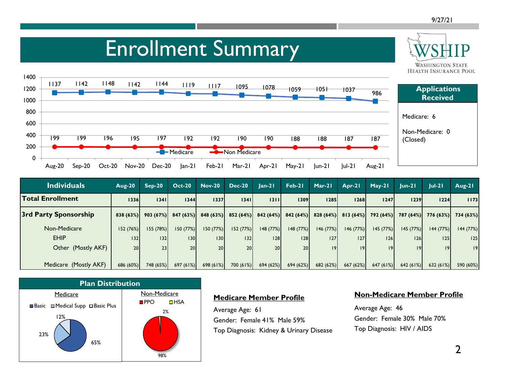**WASHINGTON STATE** 

### Enrollment Summary



| <b>Individuals</b>           | <b>Aug-20</b>   | $Sep-20$             | <b>Oct-20</b>   | <b>Nov-20</b> | <b>Dec-20</b>        | $lan-21$        | Feb-21               | Mar-21   | Apr-21    | $May-21$             | $ un-2 $  | $ ul-2 $  | $Aug-21$  |
|------------------------------|-----------------|----------------------|-----------------|---------------|----------------------|-----------------|----------------------|----------|-----------|----------------------|-----------|-----------|-----------|
| <b>Total Enrollment</b>      | 1336            | 1341                 | 1344            | 1337          | 1341                 | 1311            | 1309                 | 1285     | 1268      | 1247                 | 1239      | 1224      | 1173      |
| <b>3rd Party Sponsorship</b> |                 | $838(63%)$ 903 (67%) | 847(63%)        |               | $848(63%)$ 852 (64%) |                 | $842(64%)$ 842 (64%) | 828(64%) |           | $813(64%)$ 792 (64%) | 787 (64%) | 776(63%)  | 734 (63%) |
| Non-Medicare                 | 152(76%)        | 155 (78%)            | 150 (77%)       | 150(77%)      | 152 (77%)            | 148(77%)        | 148(77%)             | 146(77%) | 146(77%)  | 145(77%)             | 145(77%)  | 144 (77%) | 144 (77%) |
| <b>EHIP</b>                  | 132             | 32                   | 1301            | 130           | 32                   | 28              | 128                  | 127      | 127       | 126                  | 26        | 125       | 125       |
| Other (Mostly AKF)           | 20 <sup>1</sup> | 231                  | 20 <sup>1</sup> | 20            | <b>20</b>            | 20 <sup>1</sup> | 20                   | 9        | 19        | 9                    | 19        | 19        | 9         |
|                              |                 |                      |                 |               |                      |                 |                      |          |           |                      |           |           |           |
| Medicare (Mostly AKF)        | 686 (60%)       | 748 (65%)            | 697(61%)        | 698(61%)      | 700 (61%)            | 694(62%)        | 694 (62%)            | 682(62%) | 667 (62%) | 647(61%)             | 642(61%)  | 632(61%)  | 590 (60%) |



#### **Medicare Member Profile**

Average Age: 61 Gender: Female 41% Male 59% Top Diagnosis: Kidney & Urinary Disease

#### **Non-Medicare Member Profile**

Average Age: 46 Gender: Female 30% Male 70% Top Diagnosis: HIV / AIDS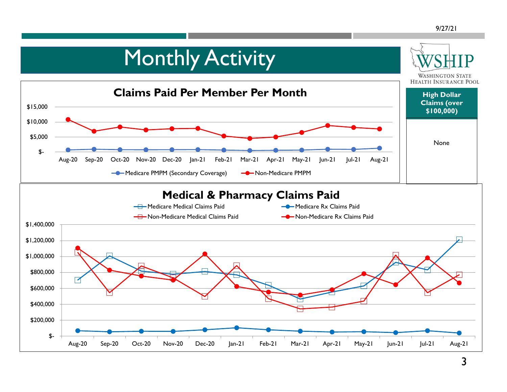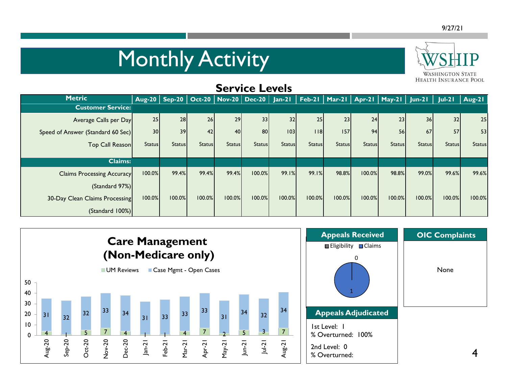# Monthly Activity



| <b>SELAICE FEAGIS</b>             |                 |               |               |               |               |               |               |               |               |               |                                                                                                           |               |               |
|-----------------------------------|-----------------|---------------|---------------|---------------|---------------|---------------|---------------|---------------|---------------|---------------|-----------------------------------------------------------------------------------------------------------|---------------|---------------|
| <b>Metric</b>                     |                 |               |               |               |               |               |               |               |               |               | Aug-20   Sep-20   Oct-20   Nov-20   Dec-20   Jan-21   Feb-21   Mar-21   Apr-21   May-21   Jun-21   Jul-21 |               | $Aug-2I$      |
| <b>Customer Service:</b>          |                 |               |               |               |               |               |               |               |               |               |                                                                                                           |               |               |
| Average Calls per Day             | 25              | 28            | 26            | 29            | 33            | 32            | 25            | 23            | 24            | 23            | 36                                                                                                        | 32            | 25            |
| Speed of Answer (Standard 60 Sec) | 30 <sup>1</sup> | 39            | 42            | 40            | 80            | 103           | 18            | 157           | 94            | 56            | 67                                                                                                        | 57            | 53            |
| Top Call Reason                   | <b>Status</b>   | <b>Status</b> | <b>Status</b> | <b>Status</b> | <b>Status</b> | <b>Status</b> | <b>Status</b> | <b>Status</b> | <b>Status</b> | <b>Status</b> | <b>Status</b>                                                                                             | <b>Status</b> | <b>Status</b> |
|                                   |                 |               |               |               |               |               |               |               |               |               |                                                                                                           |               |               |
| <b>Claims:</b>                    |                 |               |               |               |               |               |               |               |               |               |                                                                                                           |               |               |
| <b>Claims Processing Accuracy</b> | 100.0%          | 99.4%         | 99.4%         | 99.4%         | 100.0%        | 99.1%         | 99.1%         | 98.8%         | 100.0%        | 98.8%         | 99.0%                                                                                                     | 99.6%         | 99.6%         |
| (Standard 97%)                    |                 |               |               |               |               |               |               |               |               |               |                                                                                                           |               |               |
| 30-Day Clean Claims Processing    | 100.0%          | 100.0%        | 100.0%        | 100.0%        | 100.0%        | 100.0%        | 100.0%        | 100.0%        | 100.0%        | 100.0%        | 100.0%                                                                                                    | 100.0%        | 100.0%        |
| (Standard 100%)                   |                 |               |               |               |               |               |               |               |               |               |                                                                                                           |               |               |

**Service Levels**